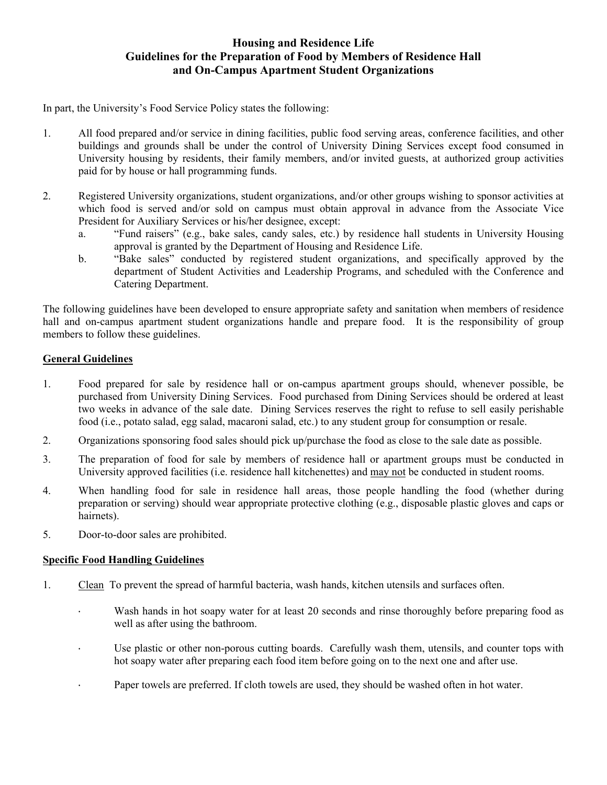## **Housing and Residence Life Guidelines for the Preparation of Food by Members of Residence Hall and On-Campus Apartment Student Organizations**

In part, the University's Food Service Policy states the following:

- 1. All food prepared and/or service in dining facilities, public food serving areas, conference facilities, and other buildings and grounds shall be under the control of University Dining Services except food consumed in University housing by residents, their family members, and/or invited guests, at authorized group activities paid for by house or hall programming funds.
- 2. Registered University organizations, student organizations, and/or other groups wishing to sponsor activities at which food is served and/or sold on campus must obtain approval in advance from the Associate Vice President for Auxiliary Services or his/her designee, except:
	- a. "Fund raisers" (e.g., bake sales, candy sales, etc.) by residence hall students in University Housing approval is granted by the Department of Housing and Residence Life.
	- b. "Bake sales" conducted by registered student organizations, and specifically approved by the department of Student Activities and Leadership Programs, and scheduled with the Conference and Catering Department.

The following guidelines have been developed to ensure appropriate safety and sanitation when members of residence hall and on-campus apartment student organizations handle and prepare food. It is the responsibility of group members to follow these guidelines.

## **General Guidelines**

- 1. Food prepared for sale by residence hall or on-campus apartment groups should, whenever possible, be purchased from University Dining Services. Food purchased from Dining Services should be ordered at least two weeks in advance of the sale date. Dining Services reserves the right to refuse to sell easily perishable food (i.e., potato salad, egg salad, macaroni salad, etc.) to any student group for consumption or resale.
- 2. Organizations sponsoring food sales should pick up/purchase the food as close to the sale date as possible.
- 3. The preparation of food for sale by members of residence hall or apartment groups must be conducted in University approved facilities (i.e. residence hall kitchenettes) and may not be conducted in student rooms.
- 4. When handling food for sale in residence hall areas, those people handling the food (whether during preparation or serving) should wear appropriate protective clothing (e.g., disposable plastic gloves and caps or hairnets).
- 5. Door-to-door sales are prohibited.

## **Specific Food Handling Guidelines**

- 1. Clean To prevent the spread of harmful bacteria, wash hands, kitchen utensils and surfaces often.
	- · Wash hands in hot soapy water for at least 20 seconds and rinse thoroughly before preparing food as well as after using the bathroom.
	- · Use plastic or other non-porous cutting boards. Carefully wash them, utensils, and counter tops with hot soapy water after preparing each food item before going on to the next one and after use.
	- · Paper towels are preferred. If cloth towels are used, they should be washed often in hot water.